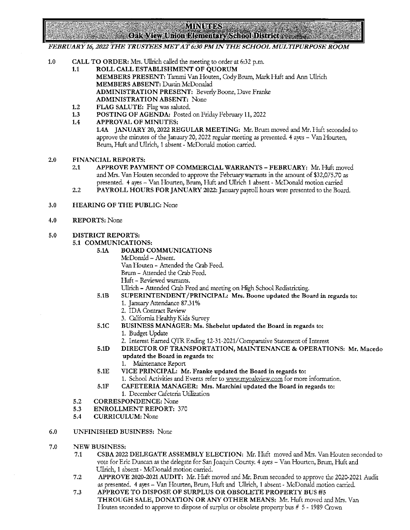## **MINUTES**

 $\sim$  Oak View Union Elementary School District

## FEBRUARY 16, 2022 THE TRUSTEES MET AT 6:30 PM IN THE SCHOOL MULTIPURPOSE ROOM

- $1.0$ CALL TO ORDER: Mrs. {Jllrich called the meeting to order at 6:32 p.m.
	- 1.1 ROLL CALL ESTABLISHMENT OF QUORUM MEMBERS PRESENT: Tammi Van Houten, Cody Brum, Mark Huft and Ann Ullrich MEMBERS ABSENT: Dustin McDonalad ADMINISTRATION PRESENT: Beverly Boone, Dave Franke ADMINISTRATION ABSENT: None
	- 1.2 FIAG SALUTE: Flag was saluted.
	- 1.3 POSTING OF AGENDA: Posted on Friday February 11, 2022
	- 1.4 APPROVAL OF MINUTES: 1.4A JANUARY 20, 2022 REGULAR MEETING: Mr. Brum moved and Mr. Huft seconded to approve the minutes of the January 20, 2022 regular meeting as presented. 4 ayes - Van Hourten, Brum, Huft and Ullrich, 1 absent - McDonald motion carried.
- $2.0$ FINANCIAL REPORTS:
	- 2.1 APPROVE PAYMENT OF COMMERCIAL WARRANTS FEBRUARY: Mr. Huft moved and Mrs. Van Houten seconded to approve the February warrants in the amount of \$32,075.70 as presented. 4 ayes - Van Hourten, Brurn, Huft and Ullrich 1 absent - McDonald motion carried
	- 2.2 PAYROLL HOURS FOR JANUARY 2022: January payroll hours were presented to the Board.
- $3.0$ HEARING OF THE PUBLIC: None
- 4.0 REPORTS: None

## 5.0 DISTRICT REPORTS:

- 5.1 COMMUNICATIONS:
	- 5.1A BOARD COMMUNICATIONS
		- McDonald Absent.
		- Van Houten Attended the Crab Feed.
		- Brurn Attended the Crab Feed.
		- Huft Reviewed warrants.
		- Ullrich Attended Crab Feed and meeting on High School Redistricting.
	- 5.1B SUPERINTENDENT/PRINCIPAL: Mts. Boone updated the Boatd in tegatds to:
		- 1. January Attendance 87.31%
		- 2. IDA Contract Review
		- 3. California Healthy Kids Survey
	- 5.1C BUSINESS MANAGER: Ms. Shebelut updated the Boatd in tegatds to:
		- 1. Budget Update
		- 2. Interest Earned QTR Ending 12-31-2021/Comparative Statement of Interest
	- 5.1D DIRECTOR OF TRANSPORTATION, MAINTENANCE & OPERATIONS: Mt. Macedo updated the Boatd in tegatds to:
		- 1. Maintenance Report
	- 5.IE VICE PRINCIPAL: Mt. Ftanke updated the Board in regards to: 1. School Activities and Events refer to www.myoakview.com for more information.
	- 5.1F CAFETERIA MANAGER: Mrs. Marchini updated the Board in regards to:
		- 1. December Cafeteria Utilization
- $5.2$ CORRESPONDENCE: None
- 5.3 ENROLLMENT REPORT: 370
- $5.4$ CURRICULUM: None
- 6.0 UNFINISHED BUSINESS: None
- 7.0 NEW BUSINESS:
	- 7.1 CSBA 2022 DELEGATE ASSEMBLY ELECTION: Mr. Huft moved and Mrs. Van Houten seconded to vote for Eric Duncan as the delegate for San Joaquin County. 4 ayes - Van Hourten, Brum, Huft and Ullrich, 1 absent - McDonald motion carried.
	- 7.2 APPROVE 2020-2021 AUDIT: Mr. Huft moved and Mr. Brurn seconded to approve the 2020-2021 Audit as presented. 4 ayes - Van Hourten, Brurn, Huft and {Jllrich, 1 absent - McDonald motion carried.
	- 7.3 APPROVE TO DISPOSE OF SURPLUS OR OBSOLETE PROPERTY BUS #5 THROUGH SALE, DONATION OR ANY OTHER MEANS: Mr. Huft moved and Mrs. Van Houten seconded to approve to dispose of surplus or obsolete property bus # 5 - 1989 Crown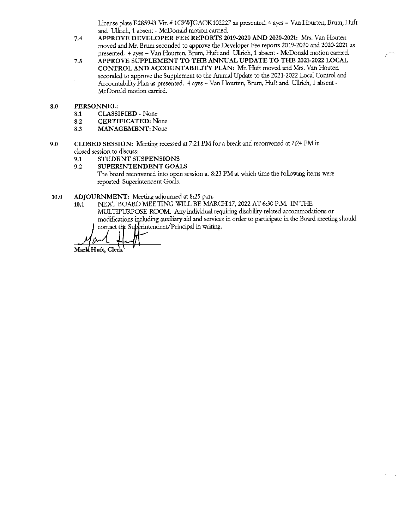License plate E285943 Vin #1C9WJGAOK102227 as presented. 4 ayes - Van Hourten, Brum, Huft and Ullrich, 1 absent - McDonald motion carried.

- 7.4 APPROVE DEVELOPER FEE REPORTS 2019-2020 AND 2020-2021: Mrs. Van Houten moved and Mr. Brum seconded to approve the Developer Fee reports 2019-2020 and 2020-2021 as presented. 4 ayes - Van Hourten, Brum, Huft and Ullrich, 1 absent - McDonald motion carried.
- 7.5 APPROVE SUPPLEMENT TO THE ANNUAL UPDATE TO THE 2021-2022 LOCAL CONTROL AND ACCOUNTABILITY PIAN: Mr. Huft moved and Mrs. Van Houten seconded to approve the Supplement to the Annual Update to the 2021-2022 Local Control and Accountability Plan as presented. 4 ayes - Van Hourten, Brum, Huft and Ullrich, 1 absent -McDonald motion carried.
- $8.0$ PERSONNEL:
	- 8.1 CIASSIFIED None
	- 8.2 CERTIFICATED: None
	- 8.3 MANAGEMENT: None
- $9.0$ CLOSED SESSION: Meeting recessed at 7:21 PMfora breakand reconvened at 7:24 PMin closed session to discuss:
	- 9.1 STUDENT SUSPENSIONS
	- 9.2 SUPERINTENDENT GOALS
		- The board reconvened into open session at 8:23 PM at which time the following items were reported: Superintendent Goals.
- 10.0 ADJOURNMENT: Meeting adjourned at 8:25 p.m.<br>10.1 NEXT BOARD MEETING WILL BE MAI
	- NEXI' BOARD MEETING WILL BE MARCH 17, 2022 AT 6:30 P.M. IN THE MULTIPURPOSE ROOM. Any individual requiring disability-related accommodations or modifications including auxiliary aid and services in order to participate in the Board meeting should contact the Superintendent/Principal in writing.

Mark Huft, Clerk